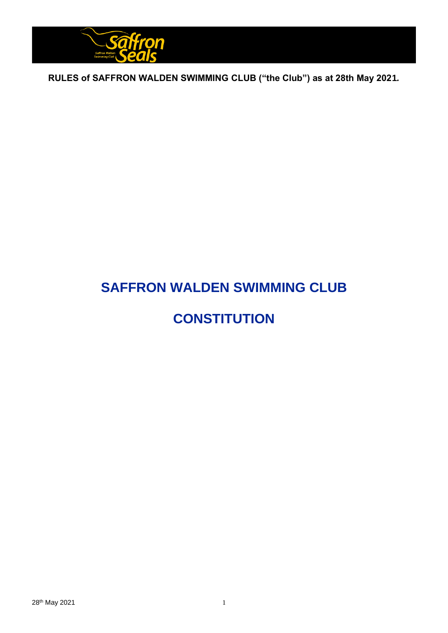

# **SAFFRON WALDEN SWIMMING CLUB**

# **CONSTITUTION**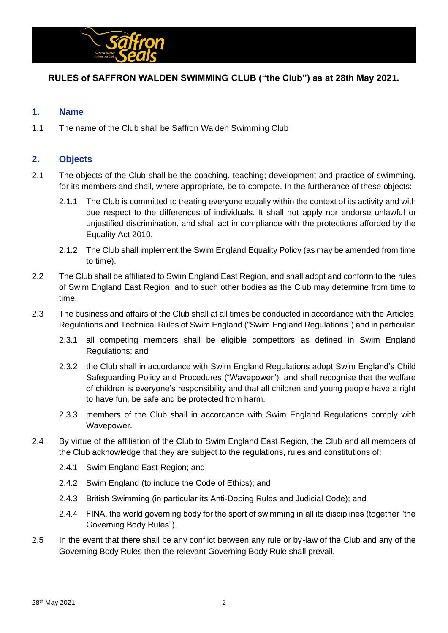

## **1. Name**

1.1 The name of the Club shall be Saffron Walden Swimming Club

## **2. Objects**

- 2.1 The objects of the Club shall be the coaching, teaching; development and practice of swimming, for its members and shall, where appropriate, be to compete. In the furtherance of these objects:
	- 2.1.1 The Club is committed to treating everyone equally within the context of its activity and with due respect to the differences of individuals. It shall not apply nor endorse unlawful or unjustified discrimination, and shall act in compliance with the protections afforded by the Equality Act 2010.
	- 2.1.2 The Club shall implement the Swim England Equality Policy (as may be amended from time to time).
- 2.2 The Club shall be affiliated to Swim England East Region, and shall adopt and conform to the rules of Swim England East Region, and to such other bodies as the Club may determine from time to time.
- 2.3 The business and affairs of the Club shall at all times be conducted in accordance with the Articles, Regulations and Technical Rules of Swim England ("Swim England Regulations") and in particular:
	- 2.3.1 all competing members shall be eligible competitors as defined in Swim England Regulations; and
	- 2.3.2 the Club shall in accordance with Swim England Regulations adopt Swim England's Child Safeguarding Policy and Procedures ("Wavepower"); and shall recognise that the welfare of children is everyone's responsibility and that all children and young people have a right to have fun, be safe and be protected from harm.
	- 2.3.3 members of the Club shall in accordance with Swim England Regulations comply with Wavepower.
- 2.4 By virtue of the affiliation of the Club to Swim England East Region, the Club and all members of the Club acknowledge that they are subject to the regulations, rules and constitutions of:
	- 2.4.1 Swim England East Region; and
	- 2.4.2 Swim England (to include the Code of Ethics); and
	- 2.4.3 British Swimming (in particular its Anti-Doping Rules and Judicial Code); and
	- 2.4.4 FINA, the world governing body for the sport of swimming in all its disciplines (together "the Governing Body Rules").
- 2.5 In the event that there shall be any conflict between any rule or by-law of the Club and any of the Governing Body Rules then the relevant Governing Body Rule shall prevail.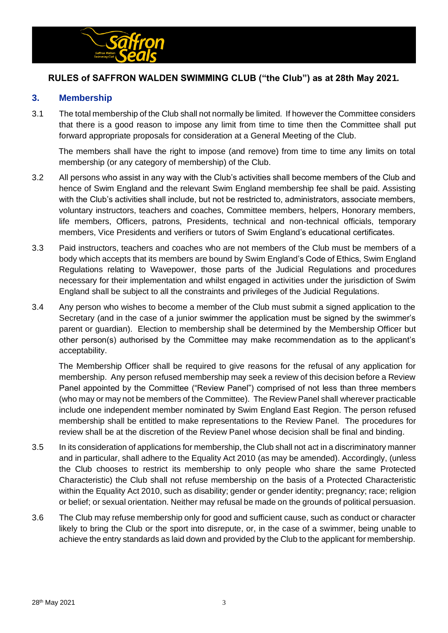

#### **3. Membership**

3.1 The total membership of the Club shall not normally be limited. If however the Committee considers that there is a good reason to impose any limit from time to time then the Committee shall put forward appropriate proposals for consideration at a General Meeting of the Club.

The members shall have the right to impose (and remove) from time to time any limits on total membership (or any category of membership) of the Club.

- 3.2 All persons who assist in any way with the Club's activities shall become members of the Club and hence of Swim England and the relevant Swim England membership fee shall be paid. Assisting with the Club's activities shall include, but not be restricted to, administrators, associate members, voluntary instructors, teachers and coaches, Committee members, helpers, Honorary members, life members, Officers, patrons, Presidents, technical and non-technical officials, temporary members, Vice Presidents and verifiers or tutors of Swim England's educational certificates.
- 3.3 Paid instructors, teachers and coaches who are not members of the Club must be members of a body which accepts that its members are bound by Swim England's Code of Ethics, Swim England Regulations relating to Wavepower, those parts of the Judicial Regulations and procedures necessary for their implementation and whilst engaged in activities under the jurisdiction of Swim England shall be subject to all the constraints and privileges of the Judicial Regulations.
- 3.4 Any person who wishes to become a member of the Club must submit a signed application to the Secretary (and in the case of a junior swimmer the application must be signed by the swimmer's parent or guardian). Election to membership shall be determined by the Membership Officer but other person(s) authorised by the Committee may make recommendation as to the applicant's acceptability.

The Membership Officer shall be required to give reasons for the refusal of any application for membership. Any person refused membership may seek a review of this decision before a Review Panel appointed by the Committee ("Review Panel") comprised of not less than three members (who may or may not be members of the Committee). The Review Panel shall wherever practicable include one independent member nominated by Swim England East Region. The person refused membership shall be entitled to make representations to the Review Panel. The procedures for review shall be at the discretion of the Review Panel whose decision shall be final and binding.

- 3.5 In its consideration of applications for membership, the Club shall not act in a discriminatory manner and in particular, shall adhere to the Equality Act 2010 (as may be amended). Accordingly, (unless the Club chooses to restrict its membership to only people who share the same Protected Characteristic) the Club shall not refuse membership on the basis of a Protected Characteristic within the Equality Act 2010, such as disability; gender or gender identity; pregnancy; race; religion or belief; or sexual orientation. Neither may refusal be made on the grounds of political persuasion.
- 3.6 The Club may refuse membership only for good and sufficient cause, such as conduct or character likely to bring the Club or the sport into disrepute, or, in the case of a swimmer, being unable to achieve the entry standards as laid down and provided by the Club to the applicant for membership.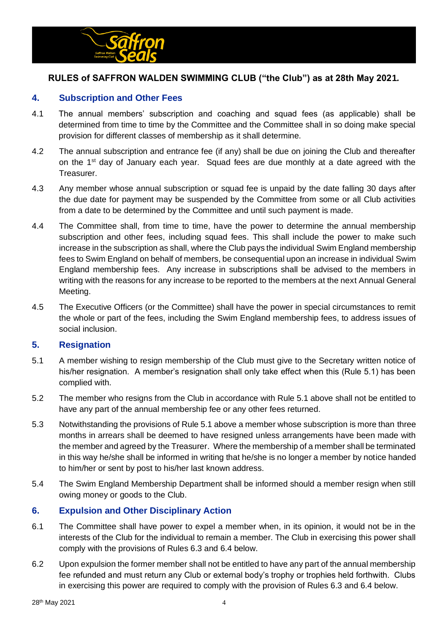

## **4. Subscription and Other Fees**

- 4.1 The annual members' subscription and coaching and squad fees (as applicable) shall be determined from time to time by the Committee and the Committee shall in so doing make special provision for different classes of membership as it shall determine.
- 4.2 The annual subscription and entrance fee (if any) shall be due on joining the Club and thereafter on the 1<sup>st</sup> day of January each year. Squad fees are due monthly at a date agreed with the Treasurer.
- 4.3 Any member whose annual subscription or squad fee is unpaid by the date falling 30 days after the due date for payment may be suspended by the Committee from some or all Club activities from a date to be determined by the Committee and until such payment is made.
- 4.4 The Committee shall, from time to time, have the power to determine the annual membership subscription and other fees, including squad fees. This shall include the power to make such increase in the subscription as shall, where the Club pays the individual Swim England membership fees to Swim England on behalf of members, be consequential upon an increase in individual Swim England membership fees. Any increase in subscriptions shall be advised to the members in writing with the reasons for any increase to be reported to the members at the next Annual General Meeting.
- 4.5 The Executive Officers (or the Committee) shall have the power in special circumstances to remit the whole or part of the fees, including the Swim England membership fees, to address issues of social inclusion.

#### **5. Resignation**

- 5.1 A member wishing to resign membership of the Club must give to the Secretary written notice of his/her resignation. A member's resignation shall only take effect when this (Rule 5.1) has been complied with.
- 5.2 The member who resigns from the Club in accordance with Rule 5.1 above shall not be entitled to have any part of the annual membership fee or any other fees returned.
- 5.3 Notwithstanding the provisions of Rule 5.1 above a member whose subscription is more than three months in arrears shall be deemed to have resigned unless arrangements have been made with the member and agreed by the Treasurer. Where the membership of a member shall be terminated in this way he/she shall be informed in writing that he/she is no longer a member by notice handed to him/her or sent by post to his/her last known address.
- 5.4 The Swim England Membership Department shall be informed should a member resign when still owing money or goods to the Club.

## **6. Expulsion and Other Disciplinary Action**

- 6.1 The Committee shall have power to expel a member when, in its opinion, it would not be in the interests of the Club for the individual to remain a member. The Club in exercising this power shall comply with the provisions of Rules 6.3 and 6.4 below.
- 6.2 Upon expulsion the former member shall not be entitled to have any part of the annual membership fee refunded and must return any Club or external body's trophy or trophies held forthwith. Clubs in exercising this power are required to comply with the provision of Rules 6.3 and 6.4 below.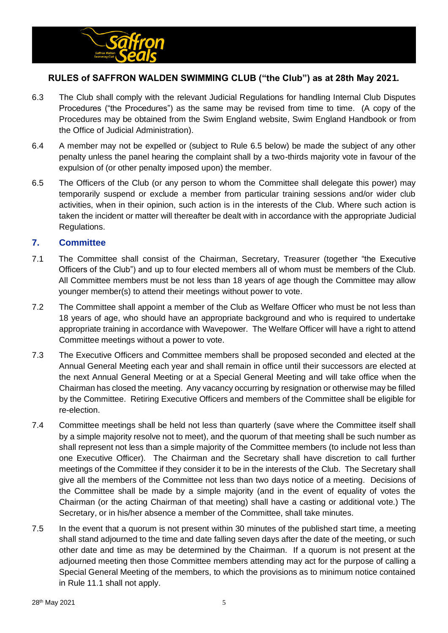

- 6.3 The Club shall comply with the relevant Judicial Regulations for handling Internal Club Disputes Procedures ("the Procedures") as the same may be revised from time to time. (A copy of the Procedures may be obtained from the Swim England website, Swim England Handbook or from the Office of Judicial Administration).
- 6.4 A member may not be expelled or (subject to Rule 6.5 below) be made the subject of any other penalty unless the panel hearing the complaint shall by a two-thirds majority vote in favour of the expulsion of (or other penalty imposed upon) the member.
- 6.5 The Officers of the Club (or any person to whom the Committee shall delegate this power) may temporarily suspend or exclude a member from particular training sessions and/or wider club activities, when in their opinion, such action is in the interests of the Club. Where such action is taken the incident or matter will thereafter be dealt with in accordance with the appropriate Judicial Regulations.

#### **7. Committee**

- 7.1 The Committee shall consist of the Chairman, Secretary, Treasurer (together "the Executive Officers of the Club") and up to four elected members all of whom must be members of the Club. All Committee members must be not less than 18 years of age though the Committee may allow younger member(s) to attend their meetings without power to vote.
- 7.2 The Committee shall appoint a member of the Club as Welfare Officer who must be not less than 18 years of age, who should have an appropriate background and who is required to undertake appropriate training in accordance with Wavepower. The Welfare Officer will have a right to attend Committee meetings without a power to vote.
- 7.3 The Executive Officers and Committee members shall be proposed seconded and elected at the Annual General Meeting each year and shall remain in office until their successors are elected at the next Annual General Meeting or at a Special General Meeting and will take office when the Chairman has closed the meeting. Any vacancy occurring by resignation or otherwise may be filled by the Committee. Retiring Executive Officers and members of the Committee shall be eligible for re-election.
- 7.4 Committee meetings shall be held not less than quarterly (save where the Committee itself shall by a simple majority resolve not to meet), and the quorum of that meeting shall be such number as shall represent not less than a simple majority of the Committee members (to include not less than one Executive Officer). The Chairman and the Secretary shall have discretion to call further meetings of the Committee if they consider it to be in the interests of the Club. The Secretary shall give all the members of the Committee not less than two days notice of a meeting. Decisions of the Committee shall be made by a simple majority (and in the event of equality of votes the Chairman (or the acting Chairman of that meeting) shall have a casting or additional vote.) The Secretary, or in his/her absence a member of the Committee, shall take minutes.
- 7.5 In the event that a quorum is not present within 30 minutes of the published start time, a meeting shall stand adjourned to the time and date falling seven days after the date of the meeting, or such other date and time as may be determined by the Chairman. If a quorum is not present at the adjourned meeting then those Committee members attending may act for the purpose of calling a Special General Meeting of the members, to which the provisions as to minimum notice contained in Rule 11.1 shall not apply.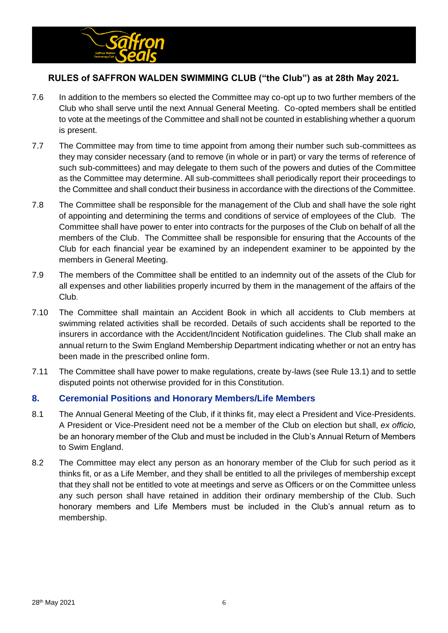

- 7.6 In addition to the members so elected the Committee may co-opt up to two further members of the Club who shall serve until the next Annual General Meeting. Co-opted members shall be entitled to vote at the meetings of the Committee and shall not be counted in establishing whether a quorum is present.
- 7.7 The Committee may from time to time appoint from among their number such sub-committees as they may consider necessary (and to remove (in whole or in part) or vary the terms of reference of such sub-committees) and may delegate to them such of the powers and duties of the Committee as the Committee may determine. All sub-committees shall periodically report their proceedings to the Committee and shall conduct their business in accordance with the directions of the Committee.
- 7.8 The Committee shall be responsible for the management of the Club and shall have the sole right of appointing and determining the terms and conditions of service of employees of the Club. The Committee shall have power to enter into contracts for the purposes of the Club on behalf of all the members of the Club. The Committee shall be responsible for ensuring that the Accounts of the Club for each financial year be examined by an independent examiner to be appointed by the members in General Meeting.
- 7.9 The members of the Committee shall be entitled to an indemnity out of the assets of the Club for all expenses and other liabilities properly incurred by them in the management of the affairs of the Club*.*
- 7.10 The Committee shall maintain an Accident Book in which all accidents to Club members at swimming related activities shall be recorded. Details of such accidents shall be reported to the insurers in accordance with the Accident/Incident Notification guidelines. The Club shall make an annual return to the Swim England Membership Department indicating whether or not an entry has been made in the prescribed online form.
- 7.11 The Committee shall have power to make regulations, create by-laws (see Rule 13.1) and to settle disputed points not otherwise provided for in this Constitution.

## **8. Ceremonial Positions and Honorary Members/Life Members**

- 8.1 The Annual General Meeting of the Club, if it thinks fit, may elect a President and Vice-Presidents. A President or Vice-President need not be a member of the Club on election but shall, *ex officio,*  be an honorary member of the Club and must be included in the Club's Annual Return of Members to Swim England.
- 8.2 The Committee may elect any person as an honorary member of the Club for such period as it thinks fit, or as a Life Member, and they shall be entitled to all the privileges of membership except that they shall not be entitled to vote at meetings and serve as Officers or on the Committee unless any such person shall have retained in addition their ordinary membership of the Club. Such honorary members and Life Members must be included in the Club's annual return as to membership.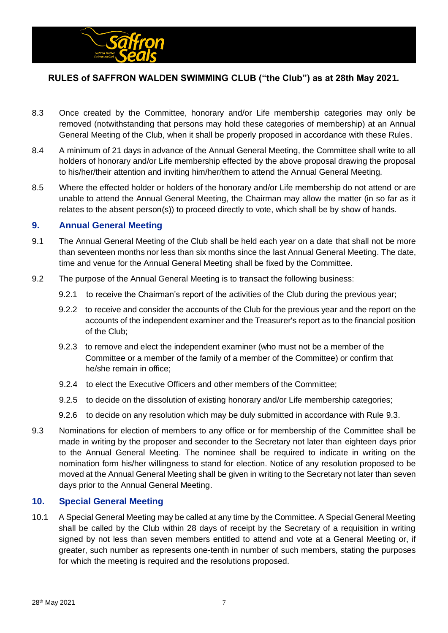

- 8.3 Once created by the Committee, honorary and/or Life membership categories may only be removed (notwithstanding that persons may hold these categories of membership) at an Annual General Meeting of the Club, when it shall be properly proposed in accordance with these Rules.
- 8.4 A minimum of 21 days in advance of the Annual General Meeting, the Committee shall write to all holders of honorary and/or Life membership effected by the above proposal drawing the proposal to his/her/their attention and inviting him/her/them to attend the Annual General Meeting.
- 8.5 Where the effected holder or holders of the honorary and/or Life membership do not attend or are unable to attend the Annual General Meeting, the Chairman may allow the matter (in so far as it relates to the absent person(s)) to proceed directly to vote, which shall be by show of hands.

#### **9. Annual General Meeting**

- 9.1 The Annual General Meeting of the Club shall be held each year on a date that shall not be more than seventeen months nor less than six months since the last Annual General Meeting. The date, time and venue for the Annual General Meeting shall be fixed by the Committee.
- 9.2 The purpose of the Annual General Meeting is to transact the following business:
	- 9.2.1 to receive the Chairman's report of the activities of the Club during the previous year;
	- 9.2.2 to receive and consider the accounts of the Club for the previous year and the report on the accounts of the independent examiner and the Treasurer's report as to the financial position of the Club;
	- 9.2.3 to remove and elect the independent examiner (who must not be a member of the Committee or a member of the family of a member of the Committee) or confirm that he/she remain in office;
	- 9.2.4 to elect the Executive Officers and other members of the Committee;
	- 9.2.5 to decide on the dissolution of existing honorary and/or Life membership categories;
	- 9.2.6 to decide on any resolution which may be duly submitted in accordance with Rule 9.3.
- 9.3 Nominations for election of members to any office or for membership of the Committee shall be made in writing by the proposer and seconder to the Secretary not later than eighteen days prior to the Annual General Meeting. The nominee shall be required to indicate in writing on the nomination form his/her willingness to stand for election. Notice of any resolution proposed to be moved at the Annual General Meeting shall be given in writing to the Secretary not later than seven days prior to the Annual General Meeting.

## **10. Special General Meeting**

10.1 A Special General Meeting may be called at any time by the Committee. A Special General Meeting shall be called by the Club within 28 days of receipt by the Secretary of a requisition in writing signed by not less than seven members entitled to attend and vote at a General Meeting or, if greater, such number as represents one-tenth in number of such members, stating the purposes for which the meeting is required and the resolutions proposed.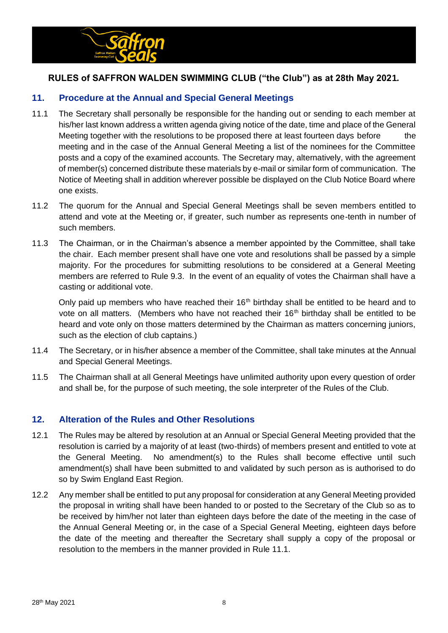

## **11. Procedure at the Annual and Special General Meetings**

- 11.1 The Secretary shall personally be responsible for the handing out or sending to each member at his/her last known address a written agenda giving notice of the date, time and place of the General Meeting together with the resolutions to be proposed there at least fourteen days before the meeting and in the case of the Annual General Meeting a list of the nominees for the Committee posts and a copy of the examined accounts. The Secretary may, alternatively, with the agreement of member(s) concerned distribute these materials by e-mail or similar form of communication. The Notice of Meeting shall in addition wherever possible be displayed on the Club Notice Board where one exists.
- 11.2 The quorum for the Annual and Special General Meetings shall be seven members entitled to attend and vote at the Meeting or, if greater, such number as represents one-tenth in number of such members.
- 11.3 The Chairman, or in the Chairman's absence a member appointed by the Committee, shall take the chair. Each member present shall have one vote and resolutions shall be passed by a simple majority. For the procedures for submitting resolutions to be considered at a General Meeting members are referred to Rule 9.3. In the event of an equality of votes the Chairman shall have a casting or additional vote.

Only paid up members who have reached their  $16<sup>th</sup>$  birthday shall be entitled to be heard and to vote on all matters. (Members who have not reached their  $16<sup>th</sup>$  birthday shall be entitled to be heard and vote only on those matters determined by the Chairman as matters concerning juniors, such as the election of club captains.)

- 11.4 The Secretary, or in his/her absence a member of the Committee, shall take minutes at the Annual and Special General Meetings.
- 11.5 The Chairman shall at all General Meetings have unlimited authority upon every question of order and shall be, for the purpose of such meeting, the sole interpreter of the Rules of the Club.

#### **12. Alteration of the Rules and Other Resolutions**

- 12.1 The Rules may be altered by resolution at an Annual or Special General Meeting provided that the resolution is carried by a majority of at least (two-thirds) of members present and entitled to vote at the General Meeting. No amendment(s) to the Rules shall become effective until such amendment(s) shall have been submitted to and validated by such person as is authorised to do so by Swim England East Region.
- 12.2 Any member shall be entitled to put any proposal for consideration at any General Meeting provided the proposal in writing shall have been handed to or posted to the Secretary of the Club so as to be received by him/her not later than eighteen days before the date of the meeting in the case of the Annual General Meeting or, in the case of a Special General Meeting, eighteen days before the date of the meeting and thereafter the Secretary shall supply a copy of the proposal or resolution to the members in the manner provided in Rule 11.1.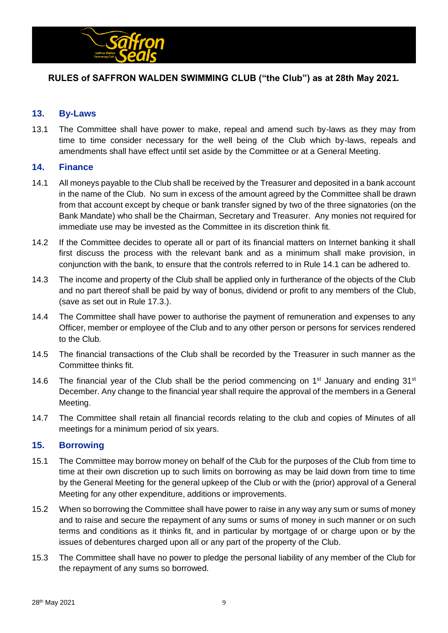

## **13. By-Laws**

13.1 The Committee shall have power to make, repeal and amend such by-laws as they may from time to time consider necessary for the well being of the Club which by-laws, repeals and amendments shall have effect until set aside by the Committee or at a General Meeting.

#### **14. Finance**

- 14.1 All moneys payable to the Club shall be received by the Treasurer and deposited in a bank account in the name of the Club. No sum in excess of the amount agreed by the Committee shall be drawn from that account except by cheque or bank transfer signed by two of the three signatories (on the Bank Mandate) who shall be the Chairman, Secretary and Treasurer. Any monies not required for immediate use may be invested as the Committee in its discretion think fit.
- 14.2 If the Committee decides to operate all or part of its financial matters on Internet banking it shall first discuss the process with the relevant bank and as a minimum shall make provision, in conjunction with the bank, to ensure that the controls referred to in Rule 14.1 can be adhered to.
- 14.3 The income and property of the Club shall be applied only in furtherance of the objects of the Club and no part thereof shall be paid by way of bonus, dividend or profit to any members of the Club, (save as set out in Rule 17.3.).
- 14.4 The Committee shall have power to authorise the payment of remuneration and expenses to any Officer, member or employee of the Club and to any other person or persons for services rendered to the Club.
- 14.5 The financial transactions of the Club shall be recorded by the Treasurer in such manner as the Committee thinks fit.
- 14.6 The financial year of the Club shall be the period commencing on 1<sup>st</sup> January and ending 31<sup>st</sup> December. Any change to the financial year shall require the approval of the members in a General Meeting.
- 14.7 The Committee shall retain all financial records relating to the club and copies of Minutes of all meetings for a minimum period of six years.

## **15. Borrowing**

- 15.1 The Committee may borrow money on behalf of the Club for the purposes of the Club from time to time at their own discretion up to such limits on borrowing as may be laid down from time to time by the General Meeting for the general upkeep of the Club or with the (prior) approval of a General Meeting for any other expenditure, additions or improvements.
- 15.2 When so borrowing the Committee shall have power to raise in any way any sum or sums of money and to raise and secure the repayment of any sums or sums of money in such manner or on such terms and conditions as it thinks fit, and in particular by mortgage of or charge upon or by the issues of debentures charged upon all or any part of the property of the Club.
- 15.3 The Committee shall have no power to pledge the personal liability of any member of the Club for the repayment of any sums so borrowed.